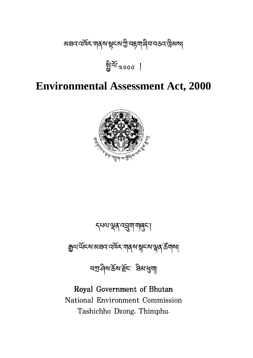

དཔལ་ན་འག་གང་།

ক্সুঅন্দ্রেস্কের অর্থা বিখ্যা বিখ্যা বিখ্যা বিখ্যা

নস্মণ্ড্ৰৰ উত্থাপ্পৰা

Royal Government of Bhutan

National Environment Commission

Tashichho Dzong, Thimphu.

# **Environmental Assessment Act, 2000**



अञ्चव वर्षेक्र गाव्रुष सूमरुण गुण्य मुत्रा वित्र नक्ष्व प्रथा।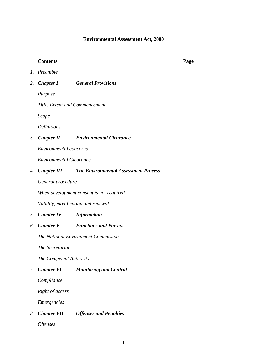#### **Environmental Assessment Act, 2000**

#### **Contents Page**

- *1. Preamble*
- *2. Chapter I General Provisions*

*Purpose* 

*Title, Extent and Commencement* 

*Scope* 

*Definitions* 

#### *3. Chapter II Environmental Clearance*

*Environmental concerns* 

*Environmental Clearance* 

#### *4. Chapter III The Environmental Assessment Process*

*General procedure* 

*When development consent is not required* 

*Validity, modification and renewal* 

#### *5. Chapter IV Information*

*6. Chapter V Functions and Powers* 

*The National Environment Commission* 

*The Secretariat* 

*The Competent Authority* 

#### *7. Chapter VI Monitoring and Control*

*Compliance* 

*Right of access* 

*Emergencies* 

*8. Chapter VII Offenses and Penalties* 

*Offenses*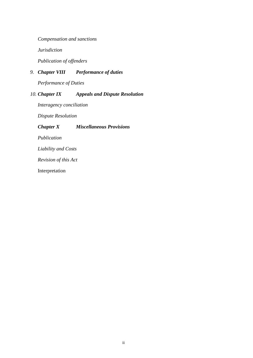*Compensation and sanctions* 

*Jurisdiction* 

*Publication of offenders* 

### *9. Chapter VIII Performance of duties*

*Performance of Duties* 

#### *10. Chapter IX Appeals and Dispute Resolution*

*Interagency conciliation* 

*Dispute Resolution* 

#### *Chapter X Miscellaneous Provisions*

*Publication* 

*Liability and Costs* 

*Revision of this Act* 

Interpretation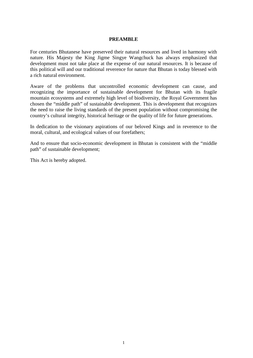#### **PREAMBLE**

For centuries Bhutanese have preserved their natural resources and lived in harmony with nature. His Majesty the King Jigme Singye Wangchuck has always emphasized that development must not take place at the expense of our natural resources. It is because of this political will and our traditional reverence for nature that Bhutan is today blessed with a rich natural environment.

Aware of the problems that uncontrolled economic development can cause, and recognizing the importance of sustainable development for Bhutan with its fragile mountain ecosystems and extremely high level of biodiversity, the Royal Government has chosen the "middle path" of sustainable development. This is development that recognizes the need to raise the living standards of the present population without compromising the country's cultural integrity, historical heritage or the quality of life for future generations.

In dedication to the visionary aspirations of our beloved Kings and in reverence to the moral, cultural, and ecological values of our forefathers;

And to ensure that socio-economic development in Bhutan is consistent with the "middle path" of sustainable development;

This Act is hereby adopted.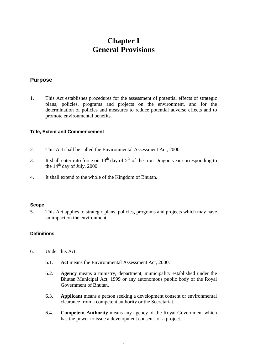# **Chapter I General Provisions**

#### **Purpose**

1. This Act establishes procedures for the assessment of potential effects of strategic plans, policies, programs and projects on the environment, and for the determination of policies and measures to reduce potential adverse effects and to promote environmental benefits.

#### **Title, Extent and Commencement**

- 2. This Act shall be called the Environmental Assessment Act, 2000.
- 3. It shall enter into force on 13<sup>th</sup> day of  $5<sup>th</sup>$  of the Iron Dragon year corresponding to the  $14<sup>th</sup>$  day of July, 2000.
- 4. It shall extend to the whole of the Kingdom of Bhutan.

#### **Scope**

5. This Act applies to strategic plans, policies, programs and projects which may have an impact on the environment.

#### **Definitions**

- 6. Under this Act:
	- 6.1. **Act** means the Environmental Assessment Act, 2000.
	- 6.2. **Agency** means a ministry, department, municipality established under the Bhutan Municipal Act, 1999 or any autonomous public body of the Royal Government of Bhutan.
	- 6.3. **Applicant** means a person seeking a development consent or environmental clearance from a competent authority or the Secretariat.
	- 6.4. **Competent Authority** means any agency of the Royal Government which has the power to issue a development consent for a project.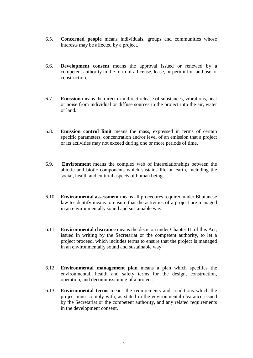- 6.5. **Concerned people** means individuals, groups and communities whose interests may be affected by a project.
- 6.6. **Development consent** means the approval issued or renewed by a competent authority in the form of a license, lease, or permit for land use or construction.
- 6.7. **Emission** means the direct or indirect release of substances, vibrations, heat or noise from individual or diffuse sources in the project into the air, water or land.
- 6.8. **Emission control limit** means the mass, expressed in terms of certain specific parameters, concentration and/or level of an emission that a project or its activities may not exceed during one or more periods of time.
- 6.9. **Environment** means the complex web of interrelationships between the abiotic and biotic components which sustains life on earth, including the social, health and cultural aspects of human beings.
- 6.10. **Environmental assessment** means all procedures required under Bhutanese law to identify means to ensure that the activities of a project are managed in an environmentally sound and sustainable way.
- 6.11. **Environmental clearance** means the decision under Chapter III of this Act, issued in writing by the Secretariat or the competent authority, to let a project proceed, which includes terms to ensure that the project is managed in an environmentally sound and sustainable way.
- 6.12. **Environmental management plan** means a plan which specifies the environmental, health and safety terms for the design, construction, operation, and decommissioning of a project.
- 6.13. **Environmental terms** means the requirements and conditions which the project must comply with, as stated in the environmental clearance issued by the Secretariat or the competent authority, and any related requirements in the development consent.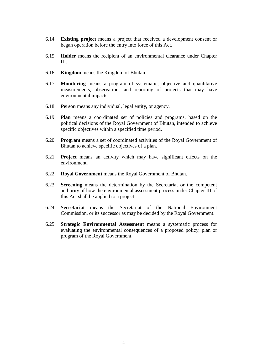- 6.14. **Existing project** means a project that received a development consent or began operation before the entry into force of this Act.
- 6.15. **Holder** means the recipient of an environmental clearance under Chapter III.
- 6.16. **Kingdom** means the Kingdom of Bhutan.
- 6.17. **Monitoring** means a program of systematic, objective and quantitative measurements, observations and reporting of projects that may have environmental impacts.
- 6.18. **Person** means any individual, legal entity, or agency.
- 6.19. **Plan** means a coordinated set of policies and programs, based on the political decisions of the Royal Government of Bhutan, intended to achieve specific objectives within a specified time period.
- 6.20. **Program** means a set of coordinated activities of the Royal Government of Bhutan to achieve specific objectives of a plan.
- 6.21. **Project** means an activity which may have significant effects on the environment.
- 6.22. **Royal Government** means the Royal Government of Bhutan.
- 6.23. **Screening** means the determination by the Secretariat or the competent authority of how the environmental assessment process under Chapter III of this Act shall be applied to a project.
- 6.24. **Secretariat** means the Secretariat of the National Environment Commission, or its successor as may be decided by the Royal Government.
- 6.25. **Strategic Environmental Assessment** means a systematic process for evaluating the environmental consequences of a proposed policy, plan or program of the Royal Government.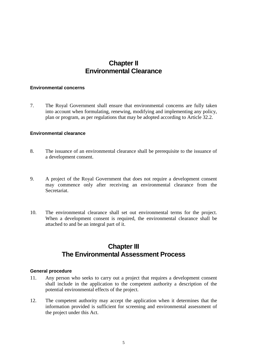# **Chapter II Environmental Clearance**

#### **Environmental concerns**

7. The Royal Government shall ensure that environmental concerns are fully taken into account when formulating, renewing, modifying and implementing any policy, plan or program, as per regulations that may be adopted according to Article 32.2.

#### **Environmental clearance**

- 8. The issuance of an environmental clearance shall be prerequisite to the issuance of a development consent.
- 9. A project of the Royal Government that does not require a development consent may commence only after receiving an environmental clearance from the Secretariat.
- 10. The environmental clearance shall set out environmental terms for the project. When a development consent is required, the environmental clearance shall be attached to and be an integral part of it.

# **Chapter III The Environmental Assessment Process**

#### **General procedure**

- 11. Any person who seeks to carry out a project that requires a development consent shall include in the application to the competent authority a description of the potential environmental effects of the project.
- 12. The competent authority may accept the application when it determines that the information provided is sufficient for screening and environmental assessment of the project under this Act.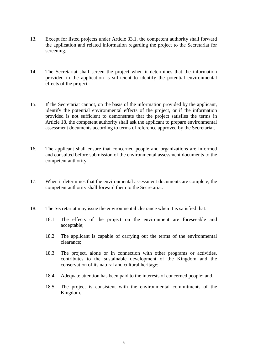- 13. Except for listed projects under Article 33.1, the competent authority shall forward the application and related information regarding the project to the Secretariat for screening.
- 14. The Secretariat shall screen the project when it determines that the information provided in the application is sufficient to identify the potential environmental effects of the project.
- 15. If the Secretariat cannot, on the basis of the information provided by the applicant, identify the potential environmental effects of the project, or if the information provided is not sufficient to demonstrate that the project satisfies the terms in Article 18, the competent authority shall ask the applicant to prepare environmental assessment documents according to terms of reference approved by the Secretariat.
- 16. The applicant shall ensure that concerned people and organizations are informed and consulted before submission of the environmental assessment documents to the competent authority.
- 17. When it determines that the environmental assessment documents are complete, the competent authority shall forward them to the Secretariat.
- 18. The Secretariat may issue the environmental clearance when it is satisfied that:
	- 18.1. The effects of the project on the environment are foreseeable and acceptable;
	- 18.2. The applicant is capable of carrying out the terms of the environmental clearance;
	- 18.3. The project, alone or in connection with other programs or activities, contributes to the sustainable development of the Kingdom and the conservation of its natural and cultural heritage;
	- 18.4. Adequate attention has been paid to the interests of concerned people; and,
	- 18.5. The project is consistent with the environmental commitments of the Kingdom.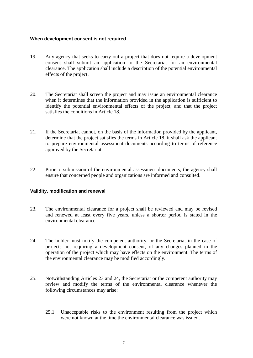#### **When development consent is not required**

- 19. Any agency that seeks to carry out a project that does not require a development consent shall submit an application to the Secretariat for an environmental clearance. The application shall include a description of the potential environmental effects of the project.
- 20. The Secretariat shall screen the project and may issue an environmental clearance when it determines that the information provided in the application is sufficient to identify the potential environmental effects of the project, and that the project satisfies the conditions in Article 18.
- 21. If the Secretariat cannot, on the basis of the information provided by the applicant, determine that the project satisfies the terms in Article 18, it shall ask the applicant to prepare environmental assessment documents according to terms of reference approved by the Secretariat.
- 22. Prior to submission of the environmental assessment documents, the agency shall ensure that concerned people and organizations are informed and consulted.

#### **Validity, modification and renewal**

- 23. The environmental clearance for a project shall be reviewed and may be revised and renewed at least every five years, unless a shorter period is stated in the environmental clearance.
- 24. The holder must notify the competent authority, or the Secretariat in the case of projects not requiring a development consent, of any changes planned in the operation of the project which may have effects on the environment. The terms of the environmental clearance may be modified accordingly.
- 25. Notwithstanding Articles 23 and 24, the Secretariat or the competent authority may review and modify the terms of the environmental clearance whenever the following circumstances may arise:
	- 25.1. Unacceptable risks to the environment resulting from the project which were not known at the time the environmental clearance was issued,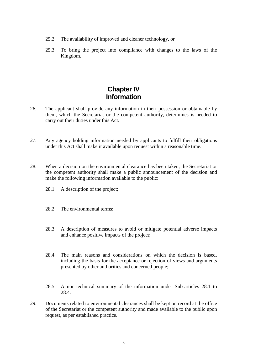- 25.2. The availability of improved and cleaner technology, or
- 25.3. To bring the project into compliance with changes to the laws of the Kingdom.

# **Chapter IV Information**

- 26. The applicant shall provide any information in their possession or obtainable by them, which the Secretariat or the competent authority, determines is needed to carry out their duties under this Act.
- 27. Any agency holding information needed by applicants to fulfill their obligations under this Act shall make it available upon request within a reasonable time.
- 28. When a decision on the environmental clearance has been taken, the Secretariat or the competent authority shall make a public announcement of the decision and make the following information available to the public:
	- 28.1. A description of the project;
	- 28.2. The environmental terms;
	- 28.3. A description of measures to avoid or mitigate potential adverse impacts and enhance positive impacts of the project;
	- 28.4. The main reasons and considerations on which the decision is based, including the basis for the acceptance or rejection of views and arguments presented by other authorities and concerned people;
	- 28.5. A non-technical summary of the information under Sub-articles 28.1 to 28.4.
- 29. Documents related to environmental clearances shall be kept on record at the office of the Secretariat or the competent authority and made available to the public upon request, as per established practice.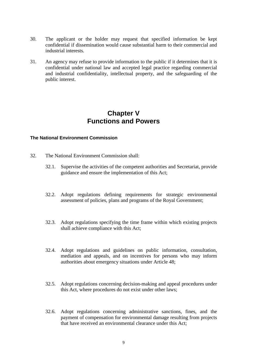- 30. The applicant or the holder may request that specified information be kept confidential if dissemination would cause substantial harm to their commercial and industrial interests.
- 31. An agency may refuse to provide information to the public if it determines that it is confidential under national law and accepted legal practice regarding commercial and industrial confidentiality, intellectual property, and the safeguarding of the public interest.

# **Chapter V Functions and Powers**

#### **The National Environment Commission**

- 32. The National Environment Commission shall:
	- 32.1. Supervise the activities of the competent authorities and Secretariat, provide guidance and ensure the implementation of this Act;
	- 32.2. Adopt regulations defining requirements for strategic environmental assessment of policies, plans and programs of the Royal Government;
	- 32.3. Adopt regulations specifying the time frame within which existing projects shall achieve compliance with this Act;
	- 32.4. Adopt regulations and guidelines on public information, consultation, mediation and appeals, and on incentives for persons who may inform authorities about emergency situations under Article 48;
	- 32.5. Adopt regulations concerning decision-making and appeal procedures under this Act, where procedures do not exist under other laws;
	- 32.6. Adopt regulations concerning administrative sanctions, fines, and the payment of compensation for environmental damage resulting from projects that have received an environmental clearance under this Act;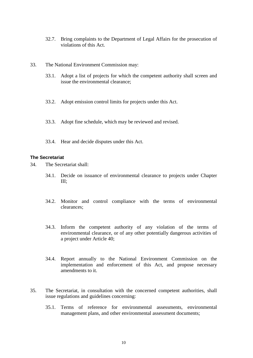- 32.7. Bring complaints to the Department of Legal Affairs for the prosecution of violations of this Act.
- 33. The National Environment Commission may:
	- 33.1. Adopt a list of projects for which the competent authority shall screen and issue the environmental clearance;
	- 33.2. Adopt emission control limits for projects under this Act.
	- 33.3. Adopt fine schedule, which may be reviewed and revised.
	- 33.4. Hear and decide disputes under this Act.

#### **The Secretariat**

34. The Secretariat shall:

- 34.1. Decide on issuance of environmental clearance to projects under Chapter III;
- 34.2. Monitor and control compliance with the terms of environmental clearances;
- 34.3. Inform the competent authority of any violation of the terms of environmental clearance, or of any other potentially dangerous activities of a project under Article 40;
- 34.4. Report annually to the National Environment Commission on the implementation and enforcement of this Act, and propose necessary amendments to it.
- 35. The Secretariat, in consultation with the concerned competent authorities, shall issue regulations and guidelines concerning:
	- 35.1. Terms of reference for environmental assessments, environmental management plans, and other environmental assessment documents;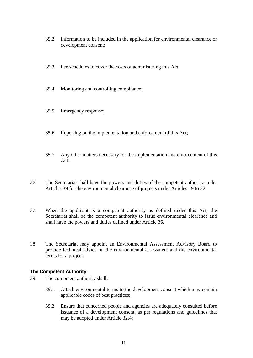- 35.2. Information to be included in the application for environmental clearance or development consent;
- 35.3. Fee schedules to cover the costs of administering this Act;
- 35.4. Monitoring and controlling compliance;
- 35.5. Emergency response;
- 35.6. Reporting on the implementation and enforcement of this Act;
- 35.7. Any other matters necessary for the implementation and enforcement of this Act.
- 36. The Secretariat shall have the powers and duties of the competent authority under Articles 39 for the environmental clearance of projects under Articles 19 to 22.
- 37. When the applicant is a competent authority as defined under this Act, the Secretariat shall be the competent authority to issue environmental clearance and shall have the powers and duties defined under Article 36.
- 38. The Secretariat may appoint an Environmental Assessment Advisory Board to provide technical advice on the environmental assessment and the environmental terms for a project.

#### **The Competent Authority**

- 39. The competent authority shall:
	- 39.1. Attach environmental terms to the development consent which may contain applicable codes of best practices;
	- 39.2. Ensure that concerned people and agencies are adequately consulted before issuance of a development consent, as per regulations and guidelines that may be adopted under Article 32.4;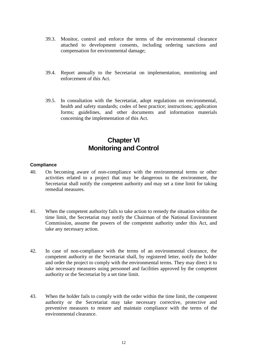- 39.3. Monitor, control and enforce the terms of the environmental clearance attached to development consents, including ordering sanctions and compensation for environmental damage;
- 39.4. Report annually to the Secretariat on implementation, monitoring and enforcement of this Act.
- 39.5. In consultation with the Secretariat, adopt regulations on environmental, health and safety standards; codes of best practice; instructions; application forms; guidelines, and other documents and information materials concerning the implementation of this Act.

# **Chapter VI Monitoring and Control**

#### **Compliance**

- 40. On becoming aware of non-compliance with the environmental terms or other activities related to a project that may be dangerous to the environment, the Secretariat shall notify the competent authority and may set a time limit for taking remedial measures.
- 41. When the competent authority fails to take action to remedy the situation within the time limit, the Secretariat may notify the Chairman of the National Environment Commission, assume the powers of the competent authority under this Act, and take any necessary action.
- 42. In case of non-compliance with the terms of an environmental clearance, the competent authority or the Secretariat shall, by registered letter, notify the holder and order the project to comply with the environmental terms. They may direct it to take necessary measures using personnel and facilities approved by the competent authority or the Secretariat by a set time limit.
- 43. When the holder fails to comply with the order within the time limit, the competent authority or the Secretariat may take necessary corrective, protective and preventive measures to restore and maintain compliance with the terms of the environmental clearance.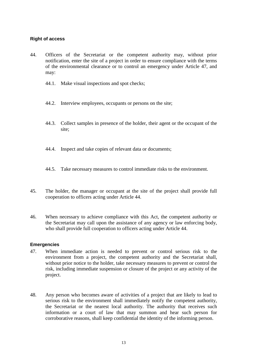#### **Right of access**

- 44. Officers of the Secretariat or the competent authority may, without prior notification, enter the site of a project in order to ensure compliance with the terms of the environmental clearance or to control an emergency under Article 47, and may:
	- 44.1. Make visual inspections and spot checks;
	- 44.2. Interview employees, occupants or persons on the site;
	- 44.3. Collect samples in presence of the holder, their agent or the occupant of the site:
	- 44.4. Inspect and take copies of relevant data or documents;
	- 44.5. Take necessary measures to control immediate risks to the environment.
- 45. The holder, the manager or occupant at the site of the project shall provide full cooperation to officers acting under Article 44.
- 46. When necessary to achieve compliance with this Act, the competent authority or the Secretariat may call upon the assistance of any agency or law enforcing body, who shall provide full cooperation to officers acting under Article 44.

#### **Emergencies**

- 47. When immediate action is needed to prevent or control serious risk to the environment from a project, the competent authority and the Secretariat shall, without prior notice to the holder, take necessary measures to prevent or control the risk, including immediate suspension or closure of the project or any activity of the project.
- 48. Any person who becomes aware of activities of a project that are likely to lead to serious risk to the environment shall immediately notify the competent authority, the Secretariat or the nearest local authority. The authority that receives such information or a court of law that may summon and hear such person for corroborative reasons, shall keep confidential the identity of the informing person.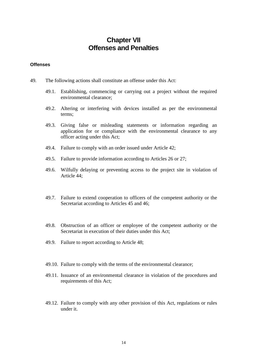# **Chapter VII Offenses and Penalties**

#### **Offenses**

- 49. The following actions shall constitute an offense under this Act:
	- 49.1. Establishing, commencing or carrying out a project without the required environmental clearance;
	- 49.2. Altering or interfering with devices installed as per the environmental terms;
	- 49.3. Giving false or misleading statements or information regarding an application for or compliance with the environmental clearance to any officer acting under this Act;
	- 49.4. Failure to comply with an order issued under Article 42;
	- 49.5. Failure to provide information according to Articles 26 or 27;
	- 49.6. Wilfully delaying or preventing access to the project site in violation of Article 44;
	- 49.7. Failure to extend cooperation to officers of the competent authority or the Secretariat according to Articles 45 and 46;
	- 49.8. Obstruction of an officer or employee of the competent authority or the Secretariat in execution of their duties under this Act;
	- 49.9. Failure to report according to Article 48;
	- 49.10. Failure to comply with the terms of the environmental clearance;
	- 49.11. Issuance of an environmental clearance in violation of the procedures and requirements of this Act;
	- 49.12. Failure to comply with any other provision of this Act, regulations or rules under it.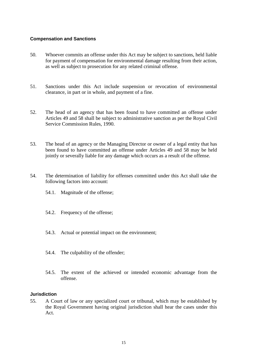#### **Compensation and Sanctions**

- 50. Whoever commits an offense under this Act may be subject to sanctions, held liable for payment of compensation for environmental damage resulting from their action, as well as subject to prosecution for any related criminal offense.
- 51. Sanctions under this Act include suspension or revocation of environmental clearance, in part or in whole, and payment of a fine.
- 52. The head of an agency that has been found to have committed an offense under Articles 49 and 58 shall be subject to administrative sanction as per the Royal Civil Service Commission Rules, 1990.
- 53. The head of an agency or the Managing Director or owner of a legal entity that has been found to have committed an offense under Articles 49 and 58 may be held jointly or severally liable for any damage which occurs as a result of the offense.
- 54. The determination of liability for offenses committed under this Act shall take the following factors into account:
	- 54.1. Magnitude of the offense;
	- 54.2. Frequency of the offense;
	- 54.3. Actual or potential impact on the environment;
	- 54.4. The culpability of the offender;
	- 54.5. The extent of the achieved or intended economic advantage from the offense.

#### **Jurisdiction**

55. A Court of law or any specialized court or tribunal, which may be established by the Royal Government having original jurisdiction shall hear the cases under this Act.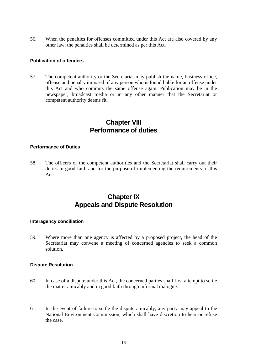56. When the penalties for offenses committed under this Act are also covered by any other law, the penalties shall be determined as per this Act.

#### **Publication of offenders**

57. The competent authority or the Secretariat may publish the name, business office, offense and penalty imposed of any person who is found liable for an offense under this Act and who commits the same offense again. Publication may be in the newspaper, broadcast media or in any other manner that the Secretariat or competent authority deems fit.

# **Chapter VIII Performance of duties**

#### **Performance of Duties**

58. The officers of the competent authorities and the Secretariat shall carry out their duties in good faith and for the purpose of implementing the requirements of this Act.

# **Chapter IX Appeals and Dispute Resolution**

#### **Interagency conciliation**

59. Where more than one agency is affected by a proposed project, the head of the Secretariat may convene a meeting of concerned agencies to seek a common solution.

#### **Dispute Resolution**

- 60. In case of a dispute under this Act, the concerned parties shall first attempt to settle the matter amicably and in good faith through informal dialogue.
- 61. In the event of failure to settle the dispute amicably, any party may appeal to the National Environment Commission, which shall have discretion to hear or refuse the case.